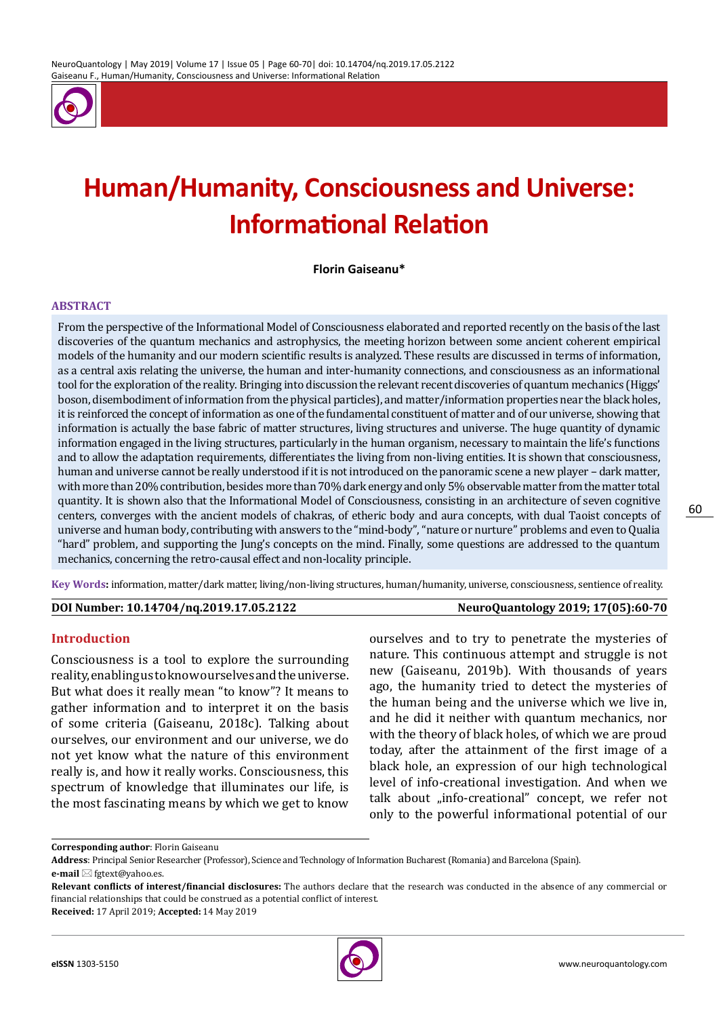

# **Human/Humanity, Consciousness and Universe: Informational Relation**

**Florin Gaiseanu\***

#### **ABSTRACT**

From the perspective of the Informational Model of Consciousness elaborated and reported recently on the basis of the last discoveries of the quantum mechanics and astrophysics, the meeting horizon between some ancient coherent empirical models of the humanity and our modern scientific results is analyzed. These results are discussed in terms of information, as a central axis relating the universe, the human and inter-humanity connections, and consciousness as an informational tool for the exploration of the reality. Bringing into discussion the relevant recent discoveries of quantum mechanics (Higgs' boson, disembodiment of information from the physical particles), and matter/information properties near the black holes, it is reinforced the concept of information as one of the fundamental constituent of matter and of our universe, showing that information is actually the base fabric of matter structures, living structures and universe. The huge quantity of dynamic information engaged in the living structures, particularly in the human organism, necessary to maintain the life's functions and to allow the adaptation requirements, differentiates the living from non-living entities. It is shown that consciousness, human and universe cannot be really understood if it is not introduced on the panoramic scene a new player – dark matter, with more than 20% contribution, besides more than 70% dark energy and only 5% observable matter from the matter total quantity. It is shown also that the Informational Model of Consciousness, consisting in an architecture of seven cognitive centers, converges with the ancient models of chakras, of etheric body and aura concepts, with dual Taoist concepts of universe and human body, contributing with answers to the "mind-body", "nature or nurture" problems and even to Qualia "hard" problem, and supporting the Jung's concepts on the mind. Finally, some questions are addressed to the quantum mechanics, concerning the retro-causal effect and non-locality principle.

**Key Words:** information, matter/dark matter, living/non-living structures, human/humanity, universe, consciousness, sentience of reality.

#### **DOI Number: 10.14704/nq.2019.17.05.2122 NeuroQuantology 2019; 17(05):60-70**

60

#### **Introduction**

Consciousness is a tool to explore the surrounding reality, enabling us to know ourselves and the universe. But what does it really mean "to know"? It means to gather information and to interpret it on the basis of some criteria (Gaiseanu, 2018c). Talking about ourselves, our environment and our universe, we do not yet know what the nature of this environment really is, and how it really works. Consciousness, this spectrum of knowledge that illuminates our life, is the most fascinating means by which we get to know

ourselves and to try to penetrate the mysteries of nature. This continuous attempt and struggle is not new (Gaiseanu, 2019b). With thousands of years ago, the humanity tried to detect the mysteries of the human being and the universe which we live in, and he did it neither with quantum mechanics, nor with the theory of black holes, of which we are proud today, after the attainment of the first image of a black hole, an expression of our high technological level of info-creational investigation. And when we talk about "info-creational" concept, we refer not only to the powerful informational potential of our



**Corresponding author**: Florin Gaiseanu

**Address**: Principal Senior Researcher (Professor), Science and Technology of Information Bucharest (Romania) and Barcelona (Spain). **e-mail** ⊠ fgtext@yahoo.es.

**Relevant conflicts of interest/financial disclosures:** The authors declare that the research was conducted in the absence of any commercial or financial relationships that could be construed as a potential conflict of interest.

**Received:** 17 April 2019; **Accepted:** 14 May 2019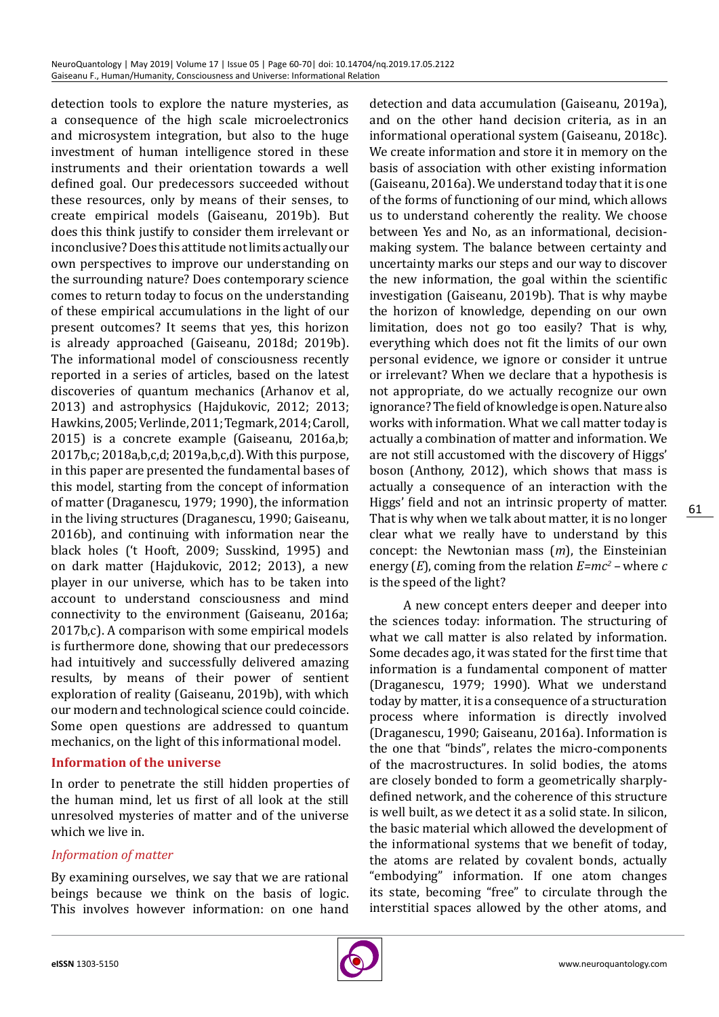detection tools to explore the nature mysteries, as a consequence of the high scale microelectronics and microsystem integration, but also to the huge investment of human intelligence stored in these instruments and their orientation towards a well defined goal. Our predecessors succeeded without these resources, only by means of their senses, to create empirical models (Gaiseanu, 2019b). But does this think justify to consider them irrelevant or inconclusive? Does this attitude not limits actually our own perspectives to improve our understanding on the surrounding nature? Does contemporary science comes to return today to focus on the understanding of these empirical accumulations in the light of our present outcomes? It seems that yes, this horizon is already approached (Gaiseanu, 2018d; 2019b). The informational model of consciousness recently reported in a series of articles, based on the latest discoveries of quantum mechanics (Arhanov et al, 2013) and astrophysics (Hajdukovic, 2012; 2013; Hawkins, 2005; Verlinde, 2011; Tegmark, 2014; Caroll, 2015) is a concrete example (Gaiseanu, 2016a,b; 2017b,c; 2018a,b,c,d; 2019a,b,c,d). With this purpose, in this paper are presented the fundamental bases of this model, starting from the concept of information of matter (Draganescu, 1979; 1990), the information in the living structures (Draganescu, 1990; Gaiseanu, 2016b), and continuing with information near the black holes ('t Hooft, 2009; Susskind, 1995) and on dark matter (Hajdukovic, 2012; 2013), a new player in our universe, which has to be taken into account to understand consciousness and mind connectivity to the environment (Gaiseanu, 2016a; 2017b,c). A comparison with some empirical models is furthermore done, showing that our predecessors had intuitively and successfully delivered amazing results, by means of their power of sentient exploration of reality (Gaiseanu, 2019b), with which our modern and technological science could coincide. Some open questions are addressed to quantum mechanics, on the light of this informational model.

#### **Information of the universe**

In order to penetrate the still hidden properties of the human mind, let us first of all look at the still unresolved mysteries of matter and of the universe which we live in.

#### *Information of matter*

By examining ourselves, we say that we are rational beings because we think on the basis of logic. This involves however information: on one hand detection and data accumulation (Gaiseanu, 2019a), and on the other hand decision criteria, as in an informational operational system (Gaiseanu, 2018c). We create information and store it in memory on the basis of association with other existing information (Gaiseanu, 2016a). We understand today that it is one of the forms of functioning of our mind, which allows us to understand coherently the reality. We choose between Yes and No, as an informational, decisionmaking system. The balance between certainty and uncertainty marks our steps and our way to discover the new information, the goal within the scientific investigation (Gaiseanu, 2019b). That is why maybe the horizon of knowledge, depending on our own limitation, does not go too easily? That is why, everything which does not fit the limits of our own personal evidence, we ignore or consider it untrue or irrelevant? When we declare that a hypothesis is not appropriate, do we actually recognize our own ignorance? The field of knowledge is open. Nature also works with information. What we call matter today is actually a combination of matter and information. We are not still accustomed with the discovery of Higgs' boson (Anthony, 2012), which shows that mass is actually a consequence of an interaction with the Higgs' field and not an intrinsic property of matter. That is why when we talk about matter, it is no longer clear what we really have to understand by this concept: the Newtonian mass (*m*), the Einsteinian energy (*E*), coming from the relation *E=mc<sup>2</sup>* – where *c* is the speed of the light?

A new concept enters deeper and deeper into the sciences today: information. The structuring of what we call matter is also related by information. Some decades ago, it was stated for the first time that information is a fundamental component of matter (Draganescu, 1979; 1990). What we understand today by matter, it is a consequence of a structuration process where information is directly involved (Draganescu, 1990; Gaiseanu, 2016a). Information is the one that "binds", relates the micro-components of the macrostructures. In solid bodies, the atoms are closely bonded to form a geometrically sharplydefined network, and the coherence of this structure is well built, as we detect it as a solid state. In silicon, the basic material which allowed the development of the informational systems that we benefit of today, the atoms are related by covalent bonds, actually "embodying" information. If one atom changes its state, becoming "free" to circulate through the interstitial spaces allowed by the other atoms, and

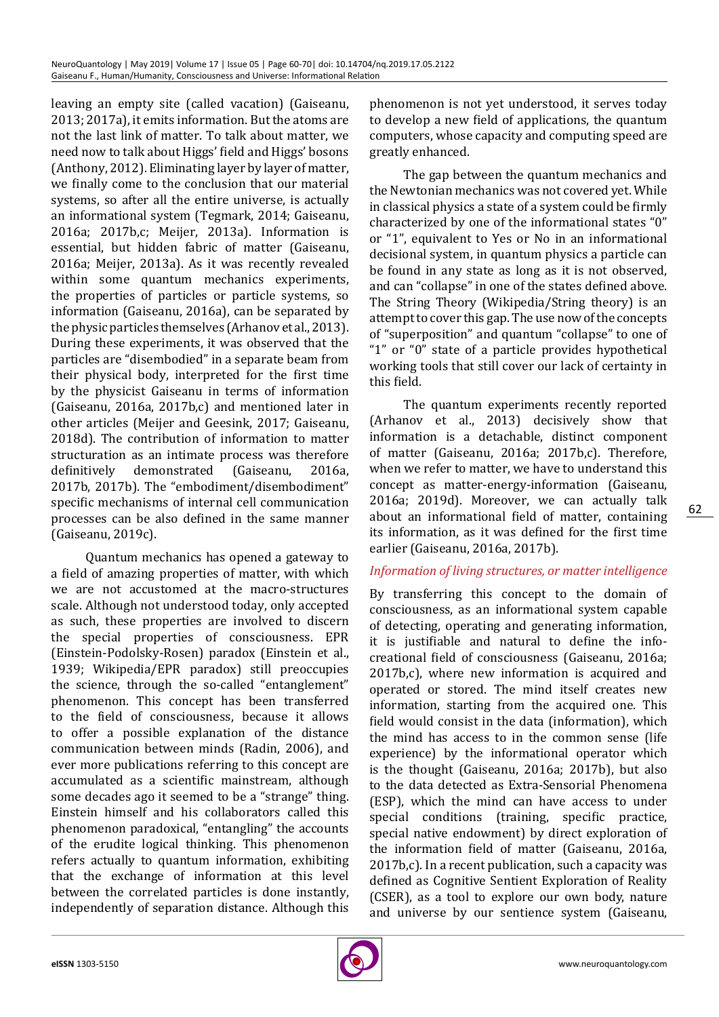leaving an empty site (called vacation) (Gaiseanu, 2013; 2017a), it emits information. But the atoms are not the last link of matter. To talk about matter, we need now to talk about Higgs' field and Higgs' bosons (Anthony, 2012). Eliminating layer by layer of matter, we finally come to the conclusion that our material systems, so after all the entire universe, is actually an informational system (Tegmark, 2014; Gaiseanu, 2016a; 2017b,c; Meijer, 2013a). Information is essential, but hidden fabric of matter (Gaiseanu, 2016a; Meijer, 2013a). As it was recently revealed within some quantum mechanics experiments, the properties of particles or particle systems, so information (Gaiseanu, 2016a), can be separated by the physic particles themselves (Arhanov et al., 2013). During these experiments, it was observed that the particles are "disembodied" in a separate beam from their physical body, interpreted for the first time by the physicist Gaiseanu in terms of information (Gaiseanu, 2016a, 2017b,c) and mentioned later in other articles (Meijer and Geesink, 2017; Gaiseanu, 2018d). The contribution of information to matter structuration as an intimate process was therefore<br>definitively demonstrated (Gaiseanu, 2016a, demonstrated (Gaiseanu, 2016a, 2017b, 2017b). The "embodiment/disembodiment" specific mechanisms of internal cell communication processes can be also defined in the same manner (Gaiseanu, 2019c).

Quantum mechanics has opened a gateway to a field of amazing properties of matter, with which we are not accustomed at the macro-structures scale. Although not understood today, only accepted as such, these properties are involved to discern the special properties of consciousness. EPR (Einstein-Podolsky-Rosen) paradox (Einstein et al., 1939; Wikipedia/EPR paradox) still preoccupies the science, through the so-called "entanglement" phenomenon. This concept has been transferred to the field of consciousness, because it allows to offer a possible explanation of the distance communication between minds (Radin, 2006), and ever more publications referring to this concept are accumulated as a scientific mainstream, although some decades ago it seemed to be a "strange" thing. Einstein himself and his collaborators called this phenomenon paradoxical, "entangling" the accounts of the erudite logical thinking. This phenomenon refers actually to quantum information, exhibiting that the exchange of information at this level between the correlated particles is done instantly, independently of separation distance. Although this phenomenon is not yet understood, it serves today to develop a new field of applications, the quantum computers, whose capacity and computing speed are greatly enhanced.

The gap between the quantum mechanics and the Newtonian mechanics was not covered yet. While in classical physics a state of a system could be firmly characterized by one of the informational states "0" or "1", equivalent to Yes or No in an informational decisional system, in quantum physics a particle can be found in any state as long as it is not observed, and can "collapse" in one of the states defined above. The String Theory (Wikipedia/String theory) is an attempt to cover this gap. The use now of the concepts of "superposition" and quantum "collapse" to one of "1" or "0" state of a particle provides hypothetical working tools that still cover our lack of certainty in this field.

The quantum experiments recently reported (Arhanov et al., 2013) decisively show that information is a detachable, distinct component of matter (Gaiseanu, 2016a; 2017b,c). Therefore, when we refer to matter, we have to understand this concept as matter-energy-information (Gaiseanu, 2016a; 2019d). Moreover, we can actually talk about an informational field of matter, containing its information, as it was defined for the first time earlier (Gaiseanu, 2016a, 2017b).

#### *Information of living structures, or matter intelligence*

By transferring this concept to the domain of consciousness, as an informational system capable of detecting, operating and generating information, it is justifiable and natural to define the infocreational field of consciousness (Gaiseanu, 2016a; 2017b,c), where new information is acquired and operated or stored. The mind itself creates new information, starting from the acquired one. This field would consist in the data (information), which the mind has access to in the common sense (life experience) by the informational operator which is the thought (Gaiseanu, 2016a; 2017b), but also to the data detected as Extra-Sensorial Phenomena (ESP), which the mind can have access to under special conditions (training, specific practice, special native endowment) by direct exploration of the information field of matter (Gaiseanu, 2016a, 2017b,c). In a recent publication, such a capacity was defined as Cognitive Sentient Exploration of Reality (CSER), as a tool to explore our own body, nature and universe by our sentience system (Gaiseanu,

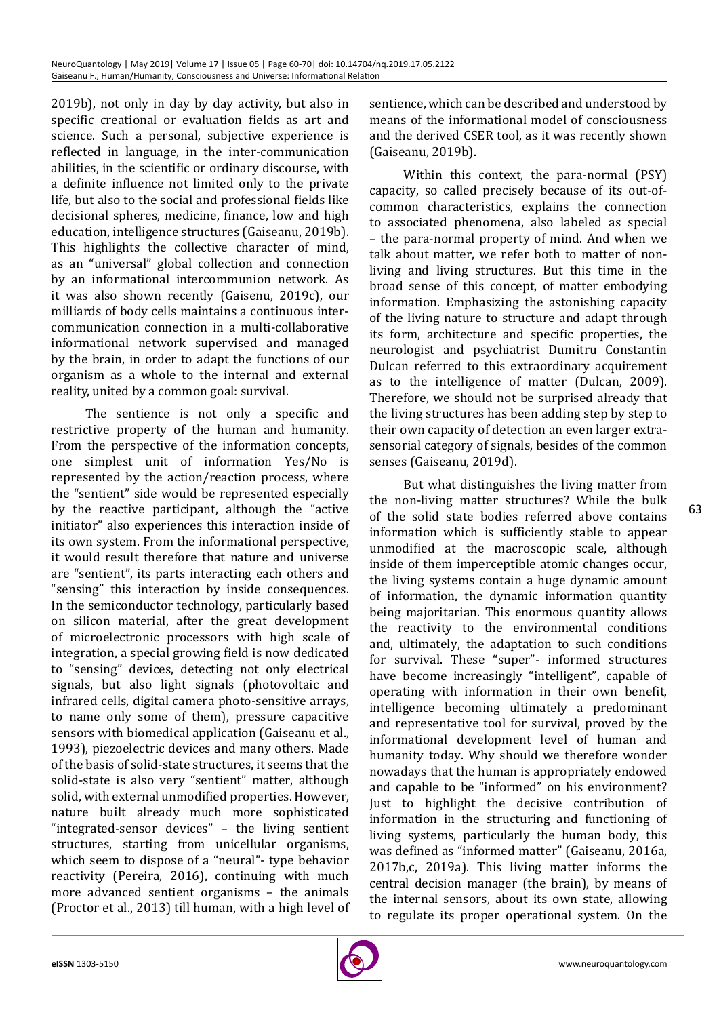2019b), not only in day by day activity, but also in specific creational or evaluation fields as art and science. Such a personal, subjective experience is reflected in language, in the inter-communication abilities, in the scientific or ordinary discourse, with a definite influence not limited only to the private life, but also to the social and professional fields like decisional spheres, medicine, finance, low and high education, intelligence structures (Gaiseanu, 2019b). This highlights the collective character of mind, as an "universal" global collection and connection by an informational intercommunion network. As it was also shown recently (Gaisenu, 2019c), our milliards of body cells maintains a continuous intercommunication connection in a multi-collaborative informational network supervised and managed by the brain, in order to adapt the functions of our organism as a whole to the internal and external reality, united by a common goal: survival.

The sentience is not only a specific and restrictive property of the human and humanity. From the perspective of the information concepts, one simplest unit of information Yes/No is represented by the action/reaction process, where the "sentient" side would be represented especially by the reactive participant, although the "active initiator" also experiences this interaction inside of its own system. From the informational perspective, it would result therefore that nature and universe are "sentient", its parts interacting each others and "sensing" this interaction by inside consequences. In the semiconductor technology, particularly based on silicon material, after the great development of microelectronic processors with high scale of integration, a special growing field is now dedicated to "sensing" devices, detecting not only electrical signals, but also light signals (photovoltaic and infrared cells, digital camera photo-sensitive arrays, to name only some of them), pressure capacitive sensors with biomedical application (Gaiseanu et al., 1993), piezoelectric devices and many others. Made of the basis of solid-state structures, it seems that the solid-state is also very "sentient" matter, although solid, with external unmodified properties. However, nature built already much more sophisticated "integrated-sensor devices" – the living sentient structures, starting from unicellular organisms, which seem to dispose of a "neural"- type behavior reactivity (Pereira, 2016), continuing with much more advanced sentient organisms – the animals (Proctor et al., 2013) till human, with a high level of sentience, which can be described and understood by means of the informational model of consciousness and the derived CSER tool, as it was recently shown (Gaiseanu, 2019b).

Within this context, the para-normal (PSY) capacity, so called precisely because of its out-ofcommon characteristics, explains the connection to associated phenomena, also labeled as special – the para-normal property of mind. And when we talk about matter, we refer both to matter of nonliving and living structures. But this time in the broad sense of this concept, of matter embodying information. Emphasizing the astonishing capacity of the living nature to structure and adapt through its form, architecture and specific properties, the neurologist and psychiatrist Dumitru Constantin Dulcan referred to this extraordinary acquirement as to the intelligence of matter (Dulcan, 2009). Therefore, we should not be surprised already that the living structures has been adding step by step to their own capacity of detection an even larger extrasensorial category of signals, besides of the common senses (Gaiseanu, 2019d).

But what distinguishes the living matter from the non-living matter structures? While the bulk of the solid state bodies referred above contains information which is sufficiently stable to appear unmodified at the macroscopic scale, although inside of them imperceptible atomic changes occur, the living systems contain a huge dynamic amount of information, the dynamic information quantity being majoritarian. This enormous quantity allows the reactivity to the environmental conditions and, ultimately, the adaptation to such conditions for survival. These "super"- informed structures have become increasingly "intelligent", capable of operating with information in their own benefit, intelligence becoming ultimately a predominant and representative tool for survival, proved by the informational development level of human and humanity today. Why should we therefore wonder nowadays that the human is appropriately endowed and capable to be "informed" on his environment? Just to highlight the decisive contribution of information in the structuring and functioning of living systems, particularly the human body, this was defined as "informed matter" (Gaiseanu, 2016a, 2017b,c, 2019a). This living matter informs the central decision manager (the brain), by means of the internal sensors, about its own state, allowing to regulate its proper operational system. On the

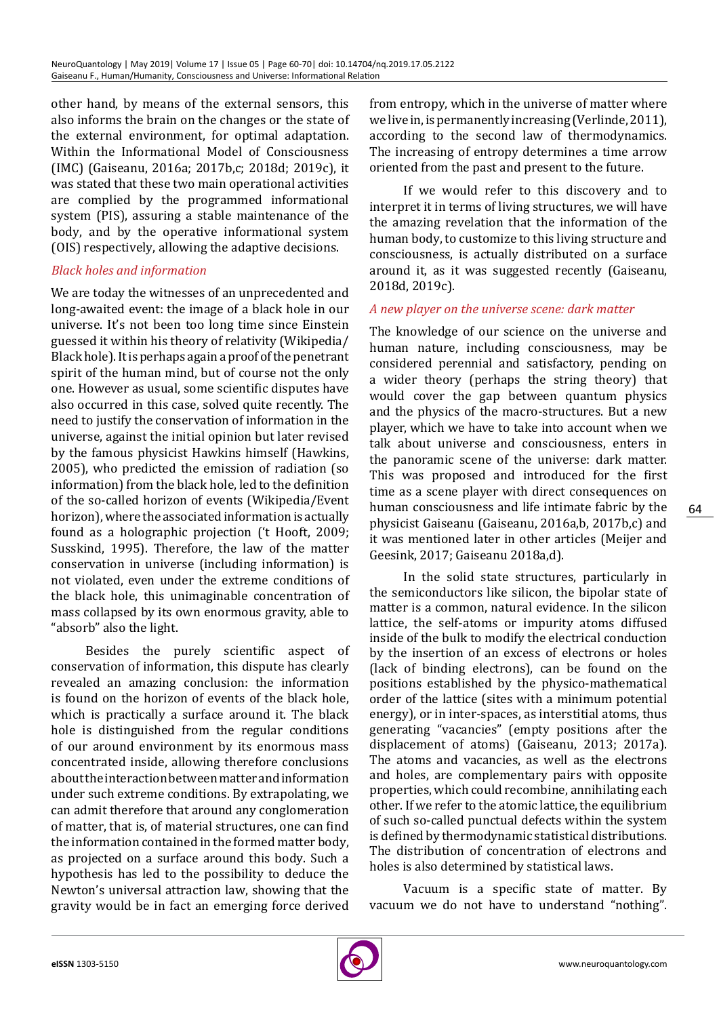other hand, by means of the external sensors, this also informs the brain on the changes or the state of the external environment, for optimal adaptation. Within the Informational Model of Consciousness (IMC) (Gaiseanu, 2016a; 2017b,c; 2018d; 2019c), it was stated that these two main operational activities are complied by the programmed informational system (PIS), assuring a stable maintenance of the body, and by the operative informational system (OIS) respectively, allowing the adaptive decisions.

# *Black holes and information*

We are today the witnesses of an unprecedented and long-awaited event: the image of a black hole in our universe. It's not been too long time since Einstein guessed it within his theory of relativity (Wikipedia/ Black hole). It is perhaps again a proof of the penetrant spirit of the human mind, but of course not the only one. However as usual, some scientific disputes have also occurred in this case, solved quite recently. The need to justify the conservation of information in the universe, against the initial opinion but later revised by the famous physicist Hawkins himself (Hawkins, 2005), who predicted the emission of radiation (so information) from the black hole, led to the definition of the so-called horizon of events (Wikipedia/Event horizon), where the associated information is actually found as a holographic projection ('t Hooft, 2009; Susskind, 1995). Therefore, the law of the matter conservation in universe (including information) is not violated, even under the extreme conditions of the black hole, this unimaginable concentration of mass collapsed by its own enormous gravity, able to "absorb" also the light.

Besides the purely scientific aspect of conservation of information, this dispute has clearly revealed an amazing conclusion: the information is found on the horizon of events of the black hole, which is practically a surface around it. The black hole is distinguished from the regular conditions of our around environment by its enormous mass concentrated inside, allowing therefore conclusions about the interaction between matter and information under such extreme conditions. By extrapolating, we can admit therefore that around any conglomeration of matter, that is, of material structures, one can find the information contained in the formed matter body, as projected on a surface around this body. Such a hypothesis has led to the possibility to deduce the Newton's universal attraction law, showing that the gravity would be in fact an emerging force derived

from entropy, which in the universe of matter where we live in, is permanently increasing (Verlinde, 2011), according to the second law of thermodynamics. The increasing of entropy determines a time arrow oriented from the past and present to the future.

If we would refer to this discovery and to interpret it in terms of living structures, we will have the amazing revelation that the information of the human body, to customize to this living structure and consciousness, is actually distributed on a surface around it, as it was suggested recently (Gaiseanu, 2018d, 2019c).

#### *A new player on the universe scene: dark matter*

The knowledge of our science on the universe and human nature, including consciousness, may be considered perennial and satisfactory, pending on a wider theory (perhaps the string theory) that would cover the gap between quantum physics and the physics of the macro-structures. But a new player, which we have to take into account when we talk about universe and consciousness, enters in the panoramic scene of the universe: dark matter. This was proposed and introduced for the first time as a scene player with direct consequences on human consciousness and life intimate fabric by the physicist Gaiseanu (Gaiseanu, 2016a,b, 2017b,c) and it was mentioned later in other articles (Meijer and Geesink, 2017; Gaiseanu 2018a,d).

In the solid state structures, particularly in the semiconductors like silicon, the bipolar state of matter is a common, natural evidence. In the silicon lattice, the self-atoms or impurity atoms diffused inside of the bulk to modify the electrical conduction by the insertion of an excess of electrons or holes (lack of binding electrons), can be found on the positions established by the physico-mathematical order of the lattice (sites with a minimum potential energy), or in inter-spaces, as interstitial atoms, thus generating "vacancies" (empty positions after the displacement of atoms) (Gaiseanu, 2013; 2017a). The atoms and vacancies, as well as the electrons and holes, are complementary pairs with opposite properties, which could recombine, annihilating each other. If we refer to the atomic lattice, the equilibrium of such so-called punctual defects within the system is defined by thermodynamic statistical distributions. The distribution of concentration of electrons and holes is also determined by statistical laws.

Vacuum is a specific state of matter. By vacuum we do not have to understand "nothing".

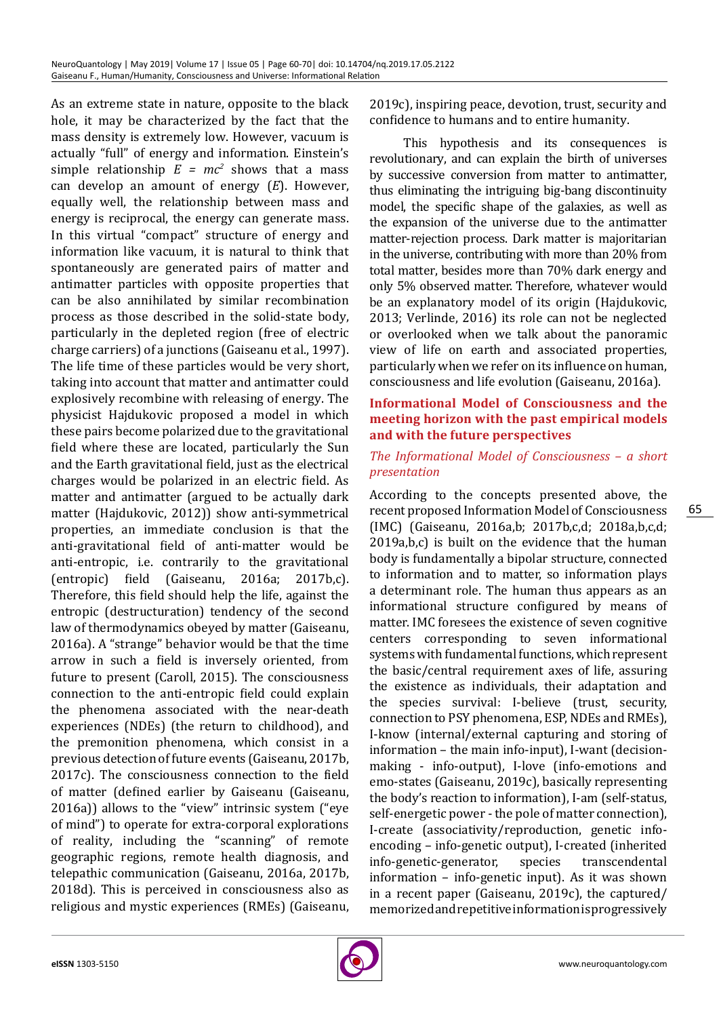As an extreme state in nature, opposite to the black hole, it may be characterized by the fact that the mass density is extremely low. However, vacuum is actually "full" of energy and information. Einstein's simple relationship  $E = mc^2$  shows that a mass can develop an amount of energy (*E*). However, equally well, the relationship between mass and energy is reciprocal, the energy can generate mass. In this virtual "compact" structure of energy and information like vacuum, it is natural to think that spontaneously are generated pairs of matter and antimatter particles with opposite properties that can be also annihilated by similar recombination process as those described in the solid-state body, particularly in the depleted region (free of electric charge carriers) of a junctions (Gaiseanu et al., 1997). The life time of these particles would be very short, taking into account that matter and antimatter could explosively recombine with releasing of energy. The physicist Hajdukovic proposed a model in which these pairs become polarized due to the gravitational field where these are located, particularly the Sun and the Earth gravitational field, just as the electrical charges would be polarized in an electric field. As matter and antimatter (argued to be actually dark matter (Hajdukovic, 2012)) show anti-symmetrical properties, an immediate conclusion is that the anti-gravitational field of anti-matter would be anti-entropic, i.e. contrarily to the gravitational (entropic) field (Gaiseanu, 2016a; 2017b,c). Therefore, this field should help the life, against the entropic (destructuration) tendency of the second law of thermodynamics obeyed by matter (Gaiseanu, 2016a). A "strange" behavior would be that the time arrow in such a field is inversely oriented, from future to present (Caroll, 2015). The consciousness connection to the anti-entropic field could explain the phenomena associated with the near-death experiences (NDEs) (the return to childhood), and the premonition phenomena, which consist in a previous detection of future events (Gaiseanu, 2017b, 2017c). The consciousness connection to the field of matter (defined earlier by Gaiseanu (Gaiseanu, 2016a)) allows to the "view" intrinsic system ("eye of mind") to operate for extra-corporal explorations of reality, including the "scanning" of remote geographic regions, remote health diagnosis, and telepathic communication (Gaiseanu, 2016a, 2017b, 2018d). This is perceived in consciousness also as religious and mystic experiences (RMEs) (Gaiseanu,

2019c), inspiring peace, devotion, trust, security and confidence to humans and to entire humanity.

This hypothesis and its consequences is revolutionary, and can explain the birth of universes by successive conversion from matter to antimatter, thus eliminating the intriguing big-bang discontinuity model, the specific shape of the galaxies, as well as the expansion of the universe due to the antimatter matter-rejection process. Dark matter is majoritarian in the universe, contributing with more than 20% from total matter, besides more than 70% dark energy and only 5% observed matter. Therefore, whatever would be an explanatory model of its origin (Hajdukovic, 2013; Verlinde, 2016) its role can not be neglected or overlooked when we talk about the panoramic view of life on earth and associated properties, particularly when we refer on its influence on human, consciousness and life evolution (Gaiseanu, 2016a).

## **Informational Model of Consciousness and the meeting horizon with the past empirical models and with the future perspectives**

## *The Informational Model of Consciousness – a short presentation*

According to the concepts presented above, the recent proposed Information Model of Consciousness (IMC) (Gaiseanu, 2016a,b; 2017b,c,d; 2018a,b,c,d; 2019a,b,c) is built on the evidence that the human body is fundamentally a bipolar structure, connected to information and to matter, so information plays a determinant role. The human thus appears as an informational structure configured by means of matter. IMC foresees the existence of seven cognitive centers corresponding to seven informational systems with fundamental functions, which represent the basic/central requirement axes of life, assuring the existence as individuals, their adaptation and the species survival: I-believe (trust, security, connection to PSY phenomena, ESP, NDEs and RMEs), I-know (internal/external capturing and storing of information – the main info-input), I-want (decisionmaking - info-output), I-love (info-emotions and emo-states (Gaiseanu, 2019c), basically representing the body's reaction to information), I-am (self-status, self-energetic power - the pole of matter connection), I-create (associativity/reproduction, genetic infoencoding – info-genetic output), I-created (inherited<br>info-genetic-generator, species transcendental info-genetic-generator, information – info-genetic input). As it was shown in a recent paper (Gaiseanu, 2019c), the captured/ memorized and repetitive information is progressively

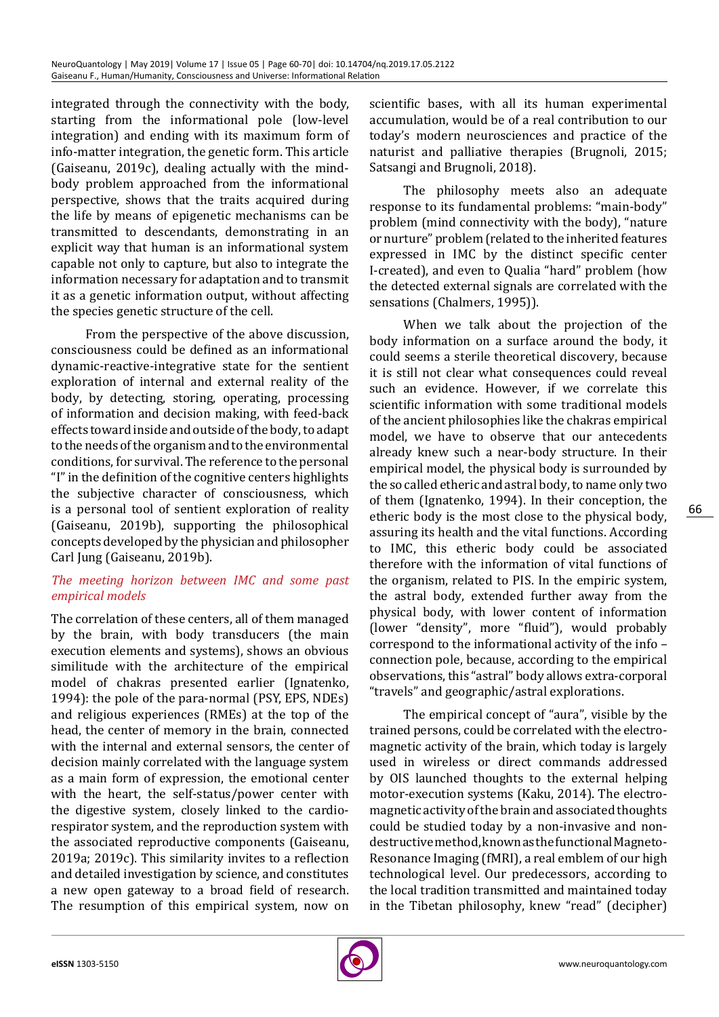integrated through the connectivity with the body, starting from the informational pole (low-level integration) and ending with its maximum form of info-matter integration, the genetic form. This article (Gaiseanu, 2019c), dealing actually with the mindbody problem approached from the informational perspective, shows that the traits acquired during the life by means of epigenetic mechanisms can be transmitted to descendants, demonstrating in an explicit way that human is an informational system capable not only to capture, but also to integrate the information necessary for adaptation and to transmit it as a genetic information output, without affecting the species genetic structure of the cell.

From the perspective of the above discussion, consciousness could be defined as an informational dynamic-reactive-integrative state for the sentient exploration of internal and external reality of the body, by detecting, storing, operating, processing of information and decision making, with feed-back effects toward inside and outside of the body, to adapt to the needs of the organism and to the environmental conditions, for survival. The reference to the personal "I" in the definition of the cognitive centers highlights the subjective character of consciousness, which is a personal tool of sentient exploration of reality (Gaiseanu, 2019b), supporting the philosophical concepts developed by the physician and philosopher Carl Jung (Gaiseanu, 2019b).

# *The meeting horizon between IMC and some past empirical models*

The correlation of these centers, all of them managed by the brain, with body transducers (the main execution elements and systems), shows an obvious similitude with the architecture of the empirical model of chakras presented earlier (Ignatenko, 1994): the pole of the para-normal (PSY, EPS, NDEs) and religious experiences (RMEs) at the top of the head, the center of memory in the brain, connected with the internal and external sensors, the center of decision mainly correlated with the language system as a main form of expression, the emotional center with the heart, the self-status/power center with the digestive system, closely linked to the cardiorespirator system, and the reproduction system with the associated reproductive components (Gaiseanu, 2019a; 2019c). This similarity invites to a reflection and detailed investigation by science, and constitutes a new open gateway to a broad field of research. The resumption of this empirical system, now on

scientific bases, with all its human experimental accumulation, would be of a real contribution to our today's modern neurosciences and practice of the naturist and palliative therapies (Brugnoli, 2015; Satsangi and Brugnoli, 2018).

The philosophy meets also an adequate response to its fundamental problems: "main-body" problem (mind connectivity with the body), "nature or nurture" problem (related to the inherited features expressed in IMC by the distinct specific center I-created), and even to Qualia "hard" problem (how the detected external signals are correlated with the sensations (Chalmers, 1995)).

When we talk about the projection of the body information on a surface around the body, it could seems a sterile theoretical discovery, because it is still not clear what consequences could reveal such an evidence. However, if we correlate this scientific information with some traditional models of the ancient philosophies like the chakras empirical model, we have to observe that our antecedents already knew such a near-body structure. In their empirical model, the physical body is surrounded by the so called etheric and astral body, to name only two of them (Ignatenko, 1994). In their conception, the etheric body is the most close to the physical body, assuring its health and the vital functions. According to IMC, this etheric body could be associated therefore with the information of vital functions of the organism, related to PIS. In the empiric system, the astral body, extended further away from the physical body, with lower content of information (lower "density", more "fluid"), would probably correspond to the informational activity of the info – connection pole, because, according to the empirical observations, this "astral" body allows extra-corporal "travels" and geographic/astral explorations.

The empirical concept of "aura", visible by the trained persons, could be correlated with the electromagnetic activity of the brain, which today is largely used in wireless or direct commands addressed by OIS launched thoughts to the external helping motor-execution systems (Kaku, 2014). The electromagnetic activity of the brain and associated thoughts could be studied today by a non-invasive and nondestructive method, known as the functional Magneto-Resonance Imaging (fMRI), a real emblem of our high technological level. Our predecessors, according to the local tradition transmitted and maintained today in the Tibetan philosophy, knew "read" (decipher)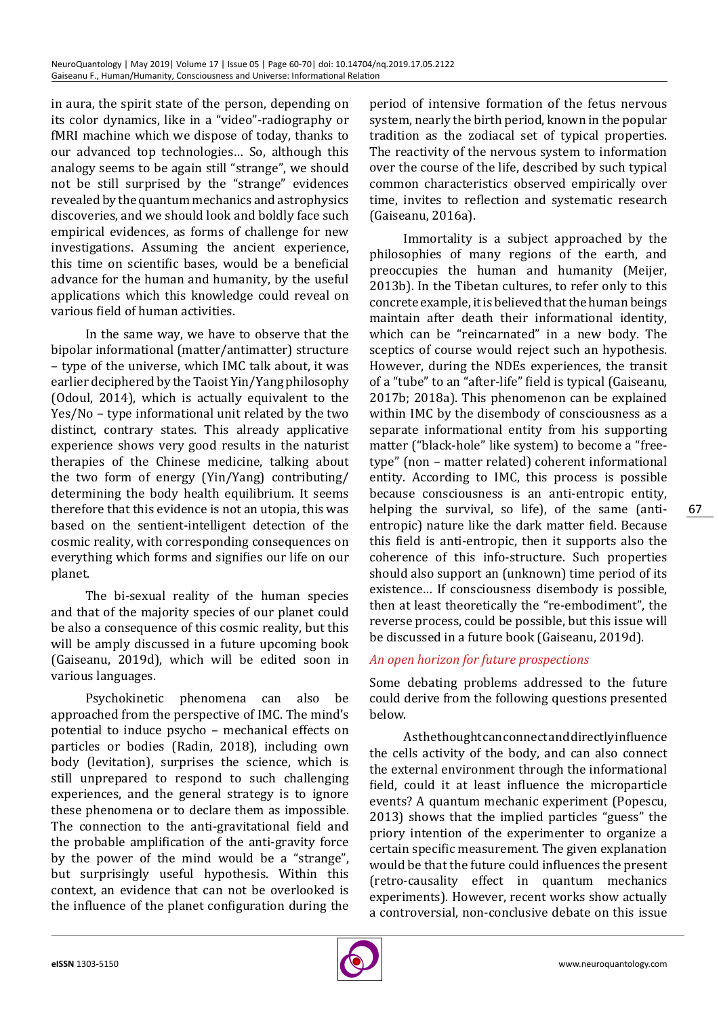in aura, the spirit state of the person, depending on its color dynamics, like in a "video"-radiography or fMRI machine which we dispose of today, thanks to our advanced top technologies… So, although this analogy seems to be again still "strange", we should not be still surprised by the "strange" evidences revealed by the quantum mechanics and astrophysics discoveries, and we should look and boldly face such empirical evidences, as forms of challenge for new investigations. Assuming the ancient experience, this time on scientific bases, would be a beneficial advance for the human and humanity, by the useful applications which this knowledge could reveal on various field of human activities.

In the same way, we have to observe that the bipolar informational (matter/antimatter) structure – type of the universe, which IMC talk about, it was earlier deciphered by the Taoist Yin/Yang philosophy (Odoul, 2014), which is actually equivalent to the Yes/No – type informational unit related by the two distinct, contrary states. This already applicative experience shows very good results in the naturist therapies of the Chinese medicine, talking about the two form of energy (Yin/Yang) contributing/ determining the body health equilibrium. It seems therefore that this evidence is not an utopia, this was based on the sentient-intelligent detection of the cosmic reality, with corresponding consequences on everything which forms and signifies our life on our planet.

The bi-sexual reality of the human species and that of the majority species of our planet could be also a consequence of this cosmic reality, but this will be amply discussed in a future upcoming book (Gaiseanu, 2019d), which will be edited soon in various languages.

Psychokinetic phenomena can also be approached from the perspective of IMC. The mind's potential to induce psycho – mechanical effects on particles or bodies (Radin, 2018), including own body (levitation), surprises the science, which is still unprepared to respond to such challenging experiences, and the general strategy is to ignore these phenomena or to declare them as impossible. The connection to the anti-gravitational field and the probable amplification of the anti-gravity force by the power of the mind would be a "strange", but surprisingly useful hypothesis. Within this context, an evidence that can not be overlooked is the influence of the planet configuration during the period of intensive formation of the fetus nervous system, nearly the birth period, known in the popular tradition as the zodiacal set of typical properties. The reactivity of the nervous system to information over the course of the life, described by such typical common characteristics observed empirically over time, invites to reflection and systematic research (Gaiseanu, 2016a).

Immortality is a subject approached by the philosophies of many regions of the earth, and preoccupies the human and humanity (Meijer, 2013b). In the Tibetan cultures, to refer only to this concrete example, it is believed that the human beings maintain after death their informational identity, which can be "reincarnated" in a new body. The sceptics of course would reject such an hypothesis. However, during the NDEs experiences, the transit of a "tube" to an "after-life" field is typical (Gaiseanu, 2017b; 2018a). This phenomenon can be explained within IMC by the disembody of consciousness as a separate informational entity from his supporting matter ("black-hole" like system) to become a "freetype" (non – matter related) coherent informational entity. According to IMC, this process is possible because consciousness is an anti-entropic entity, helping the survival, so life), of the same (antientropic) nature like the dark matter field. Because this field is anti-entropic, then it supports also the coherence of this info-structure. Such properties should also support an (unknown) time period of its existence… If consciousness disembody is possible, then at least theoretically the "re-embodiment", the reverse process, could be possible, but this issue will be discussed in a future book (Gaiseanu, 2019d).

# *An open horizon for future prospections*

Some debating problems addressed to the future could derive from the following questions presented below.

As the thought can connect and directly influence the cells activity of the body, and can also connect the external environment through the informational field, could it at least influence the microparticle events? A quantum mechanic experiment (Popescu, 2013) shows that the implied particles "guess" the priory intention of the experimenter to organize a certain specific measurement. The given explanation would be that the future could influences the present (retro-causality effect in quantum mechanics experiments). However, recent works show actually a controversial, non-conclusive debate on this issue

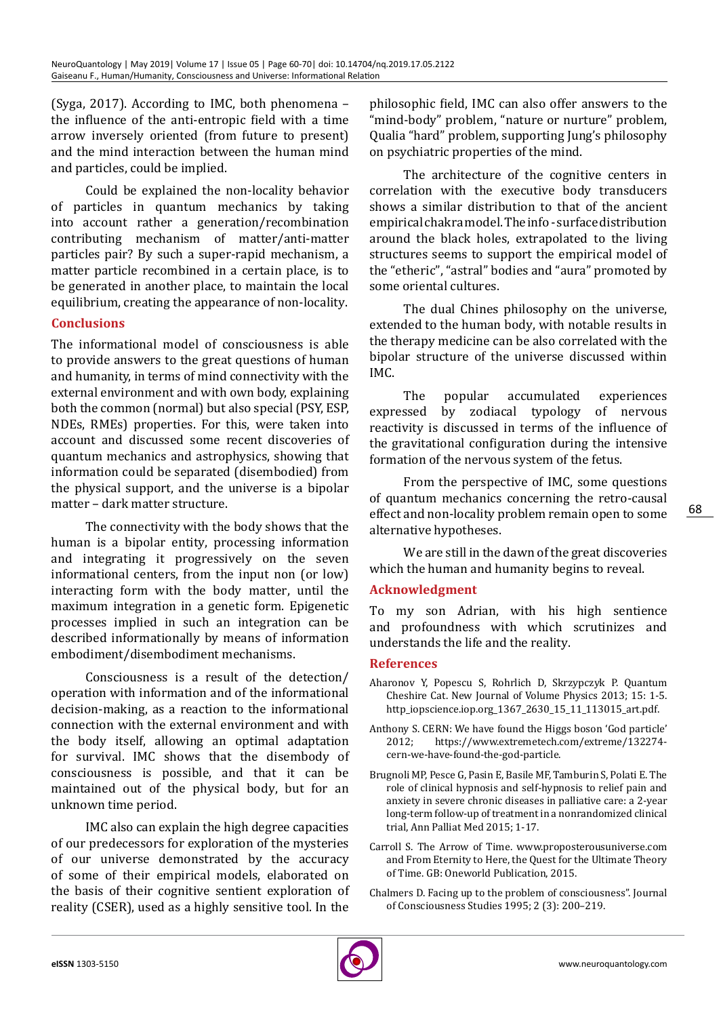(Syga, 2017). According to IMC, both phenomena – the influence of the anti-entropic field with a time arrow inversely oriented (from future to present) and the mind interaction between the human mind and particles, could be implied.

Could be explained the non-locality behavior of particles in quantum mechanics by taking into account rather a generation/recombination contributing mechanism of matter/anti-matter particles pair? By such a super-rapid mechanism, a matter particle recombined in a certain place, is to be generated in another place, to maintain the local equilibrium, creating the appearance of non-locality.

# **Conclusions**

The informational model of consciousness is able to provide answers to the great questions of human and humanity, in terms of mind connectivity with the external environment and with own body, explaining both the common (normal) but also special (PSY, ESP, NDEs, RMEs) properties. For this, were taken into account and discussed some recent discoveries of quantum mechanics and astrophysics, showing that information could be separated (disembodied) from the physical support, and the universe is a bipolar matter – dark matter structure.

The connectivity with the body shows that the human is a bipolar entity, processing information and integrating it progressively on the seven informational centers, from the input non (or low) interacting form with the body matter, until the maximum integration in a genetic form. Epigenetic processes implied in such an integration can be described informationally by means of information embodiment/disembodiment mechanisms.

Consciousness is a result of the detection/ operation with information and of the informational decision-making, as a reaction to the informational connection with the external environment and with the body itself, allowing an optimal adaptation for survival. IMC shows that the disembody of consciousness is possible, and that it can be maintained out of the physical body, but for an unknown time period.

IMC also can explain the high degree capacities of our predecessors for exploration of the mysteries of our universe demonstrated by the accuracy of some of their empirical models, elaborated on the basis of their cognitive sentient exploration of reality (CSER), used as a highly sensitive tool. In the philosophic field, IMC can also offer answers to the "mind-body" problem, "nature or nurture" problem, Qualia "hard" problem, supporting Jung's philosophy on psychiatric properties of the mind.

The architecture of the cognitive centers in correlation with the executive body transducers shows a similar distribution to that of the ancient empirical chakra model. The info - surface distribution around the black holes, extrapolated to the living structures seems to support the empirical model of the "etheric", "astral" bodies and "aura" promoted by some oriental cultures.

The dual Chines philosophy on the universe, extended to the human body, with notable results in the therapy medicine can be also correlated with the bipolar structure of the universe discussed within IMC.

The popular accumulated experiences expressed by zodiacal typology of nervous reactivity is discussed in terms of the influence of the gravitational configuration during the intensive formation of the nervous system of the fetus.

From the perspective of IMC, some questions of quantum mechanics concerning the retro-causal effect and non-locality problem remain open to some alternative hypotheses.

We are still in the dawn of the great discoveries which the human and humanity begins to reveal.

#### **Acknowledgment**

To my son Adrian, with his high sentience and profoundness with which scrutinizes and understands the life and the reality.

#### **References**

- Aharonov Y, Popescu S, Rohrlich D, Skrzypczyk P. Quantum Cheshire Cat. New Journal of Volume Physics 2013; 15: 1-5. http\_iopscience.iop.org\_1367\_2630\_15\_11\_113015\_art.pdf.
- Anthony S. CERN: We have found the Higgs boson 'God particle'<br>2012: https://www.extremetech.com/extreme/132274[https://www.extremetech.com/extreme/132274](https://www.extremetech.com/extreme/132274-cern-we-have-found-the-god-particle) [cern-we-have-found-the-god-particle.](https://www.extremetech.com/extreme/132274-cern-we-have-found-the-god-particle)
- Brugnoli MP, Pesce G, Pasin E, Basile MF, Tamburin S, Polati E. The role of clinical hypnosis and self-hypnosis to relief pain and anxiety in severe chronic diseases in palliative care: a 2-year long-term follow-up of treatment in a nonrandomized clinical trial, Ann Palliat Med 2015; 1-17.
- Carroll S. The Arrow of Time. www.proposterousuniverse.com and From Eternity to Here, the Quest for the Ultimate Theory of Time. GB: Oneworld Publication, 2015.
- [Chalmers D](https://en.m.wikipedia.org/wiki/David_Chalmers). [Facing up to the problem of consciousness".](http://www.imprint.co.uk/chalmers.html) [Journal](https://en.m.wikipedia.org/wiki/Journal_of_Consciousness_Studies)  [of Consciousness Studies](https://en.m.wikipedia.org/wiki/Journal_of_Consciousness_Studies) 1995; 2 (3): 200–219.

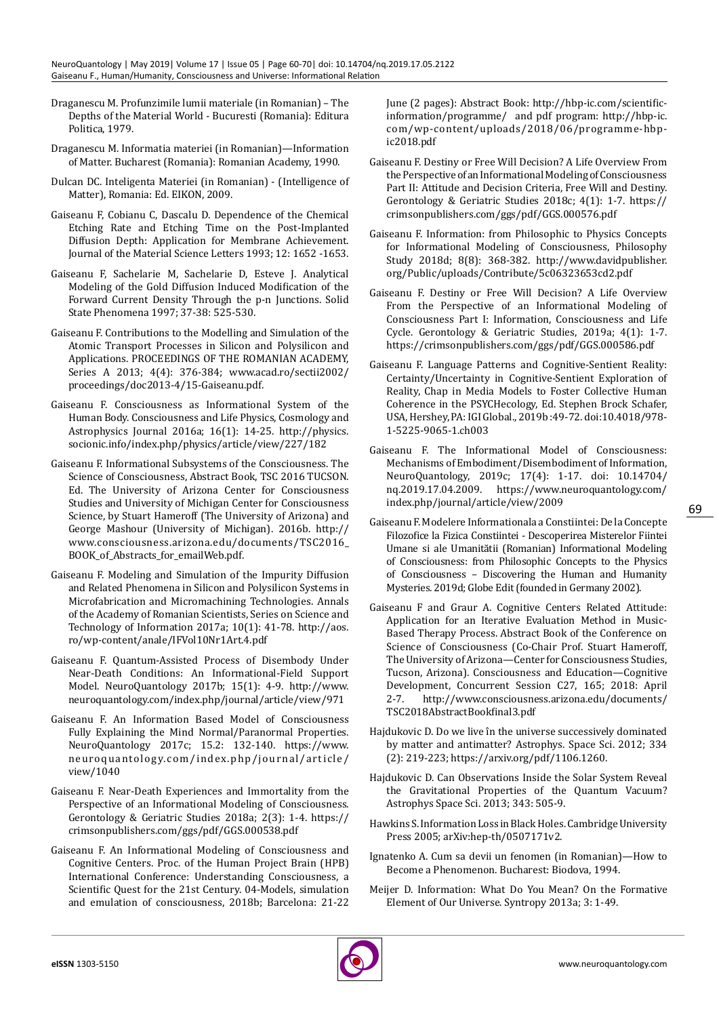- Draganescu M. Profunzimile lumii materiale (in Romanian) The Depths of the Material World - Bucuresti (Romania): Editura Politica, 1979.
- Draganescu M. Informatia materiei (in Romanian)—Information of Matter. Bucharest (Romania): Romanian Academy, 1990.
- Dulcan DC. Inteligenta Materiei (in Romanian) (Intelligence of Matter), Romania: Ed. EIKON, 2009.
- Gaiseanu F, Cobianu C, Dascalu D. Dependence of the Chemical Etching Rate and Etching Time on the Post-Implanted Diffusion Depth: Application for Membrane Achievement. Journal of the Material Science Letters 1993; 12: 1652 -1653.
- Gaiseanu F, Sachelarie M, Sachelarie D, Esteve J. Analytical Modeling of the Gold Diffusion Induced Modification of the Forward Current Density Through the p-n Junctions. Solid State Phenomena 1997; 37-38: 525-530.
- Gaiseanu F. Contributions to the Modelling and Simulation of the Atomic Transport Processes in Silicon and Polysilicon and Applications. PROCEEDINGS OF THE ROMANIAN ACADEMY, Series A 2013; 4(4): 376-384; [www.acad.ro/sectii2002/](http://www.acad.ro/sectii2002/proceedings/doc2013-4/15-Gaiseanu.pdf) [proceedings/doc2013-4/15-Gaiseanu.pdf.](http://www.acad.ro/sectii2002/proceedings/doc2013-4/15-Gaiseanu.pdf)
- Gaiseanu F. Consciousness as Informational System of the Human Body. Consciousness and Life Physics, Cosmology and Astrophysics Journal 2016a; 16(1): 14-25. [http://physics.](http://physics.socionic.info/index.php/physics/article/view/227/182) [socionic.info/index.php/physics/article/view/227/182](http://physics.socionic.info/index.php/physics/article/view/227/182)
- Gaiseanu F. Informational Subsystems of the Consciousness. The Science of Consciousness, Abstract Book, TSC 2016 TUCSON. Ed. The University of Arizona Center for Consciousness Studies and University of Michigan Center for Consciousness Science, by Stuart Hameroff (The University of Arizona) and George Mashour (University of Michigan). 2016b. [http://](http://www.consciousness.arizona.edu/documents/TSC2016_BOOK_of_Abstracts_for_emailWeb.pdf) [www.consciousness.arizona.edu/documents/TSC2016\\_](http://www.consciousness.arizona.edu/documents/TSC2016_BOOK_of_Abstracts_for_emailWeb.pdf) [BOOK\\_of\\_Abstracts\\_for\\_emailWeb.pdf](http://www.consciousness.arizona.edu/documents/TSC2016_BOOK_of_Abstracts_for_emailWeb.pdf).
- Gaiseanu F. Modeling and Simulation of the Impurity Diffusion and Related Phenomena in Silicon and Polysilicon Systems in Microfabrication and Micromachining Technologies. Annals of the Academy of Romanian Scientists, Series on Science and Technology of Information 2017a; 10(1): 41-78. [http://aos.](http://aos.ro/wp-content/anale/IFVol10Nr1Art.4.pdf) [ro/wp-content/anale/IFVol10Nr1Art.4.pdf](http://aos.ro/wp-content/anale/IFVol10Nr1Art.4.pdf)
- Gaiseanu F. Quantum-Assisted Process of Disembody Under Near-Death Conditions: An Informational-Field Support Model. NeuroQuantology 2017b; 15(1): 4-9. [http://www.](http://www.neuroquantology.com/index.php/journal/article/view/971) [neuroquantology.com/index.php/journal/article/view/971](http://www.neuroquantology.com/index.php/journal/article/view/971)
- Gaiseanu F. An Information Based Model of Consciousness Fully Explaining the Mind Normal/Paranormal Properties. NeuroQuantology 2017c; 15.2: 132-140. [https://www.](https://www.neuroquantology.com/index.php/journal/article/view/1040) [neuroquantology.com/index.php/journal/article/](https://www.neuroquantology.com/index.php/journal/article/view/1040) [view/1040](https://www.neuroquantology.com/index.php/journal/article/view/1040)
- Gaiseanu F. Near-Death Experiences and Immortality from the Perspective of an Informational Modeling of Consciousness. Gerontology & Geriatric Studies 2018a; 2(3): 1-4. [https://](https://crimsonpublishers.com/ggs/pdf/GGS.000538.pdf) [crimsonpublishers.com/ggs/pdf/GGS.000538.pdf](https://crimsonpublishers.com/ggs/pdf/GGS.000538.pdf)
- Gaiseanu F. An Informational Modeling of Consciousness and Cognitive Centers. Proc. of the Human Project Brain (HPB) International Conference: Understanding Consciousness, a Scientific Quest for the 21st Century. 04-Models, simulation and emulation of consciousness, 2018b; Barcelona: 21-22

June (2 pages): Abstract Book: [http://hbp-ic.com/scientific](http://hbp-ic.com/scientific-information/programme/ )[information/programme/](http://hbp-ic.com/scientific-information/programme/ ) and pdf program: [http://hbp-ic.](http://hbp-ic.com/wp-content/uploads/2018/06/programme-hbp-ic2018.pdf) [com/wp-content/uploads/2018/06/programme-hbp](http://hbp-ic.com/wp-content/uploads/2018/06/programme-hbp-ic2018.pdf)[ic2018.pdf](http://hbp-ic.com/wp-content/uploads/2018/06/programme-hbp-ic2018.pdf)

- Gaiseanu F. Destiny or Free Will Decision? A Life Overview From the Perspective of an Informational Modeling of Consciousness Part II: Attitude and Decision Criteria, Free Will and Destiny. Gerontology & Geriatric Studies 2018c; 4(1): 1-7. [https://](https://crimsonpublishers.com/ggs/pdf/GGS.000576.pdf) [crimsonpublishers.com/ggs/pdf/GGS.000576.pdf](https://crimsonpublishers.com/ggs/pdf/GGS.000576.pdf)
- Gaiseanu F. Information: from Philosophic to Physics Concepts for Informational Modeling of Consciousness, Philosophy Study 2018d; 8(8): 368-382. [http://www.davidpublisher.](http://www.davidpublisher.org/Public/uploads/Contribute/5c06323653cd2.pdf) [org/Public/uploads/Contribute/5c06323653cd2.pdf](http://www.davidpublisher.org/Public/uploads/Contribute/5c06323653cd2.pdf)
- Gaiseanu F. Destiny or Free Will Decision? A Life Overview From the Perspective of an Informational Modeling of Consciousness Part I: Information, Consciousness and Life Cycle. Gerontology & Geriatric Studies, 2019a; 4(1): 1-7. <https://crimsonpublishers.com/ggs/pdf/GGS.000586.pdf>
- Gaiseanu F. Language Patterns and Cognitive-Sentient Reality: Certainty/Uncertainty in Cognitive-Sentient Exploration of Reality, Chap in Media Models to Foster Collective Human Coherence in the PSYCHecology, Ed. Stephen Brock Schafer, USA, Hershey, PA: IGI Global., 2019b :49-72. doi:10.4018/978- 1-5225-9065-1.ch003
- Gaiseanu F. The Informational Model of Consciousness: Mechanisms of Embodiment/Disembodiment of Information, NeuroQuantology, 2019c; 17(4): 1-17. doi: 10.14704/ nq.2019.17.04.2009. https://www.neuroquantology.com/ index.php/journal/article/view/2009
- Gaiseanu F. Modelere Informationala a Constiintei: De la Concepte Filozofice la Fizica Constiintei - Descoperirea Misterelor Fiintei Umane si ale Umanitătii (Romanian) Informational Modeling of Consciousness: from Philosophic Concepts to the Physics of Consciousness – Discovering the Human and Humanity Mysteries. 2019d; Globe Edit (founded in Germany 2002).
- Gaiseanu F and Graur A. Cognitive Centers Related Attitude: Application for an Iterative Evaluation Method in Music-Based Therapy Process. Abstract Book of the Conference on Science of Consciousness (Co-Chair Prof. Stuart Hameroff, The University of Arizona—Center for Consciousness Studies, Tucson, Arizona). Consciousness and Education—Cognitive Development, Concurrent Session C27, 165; 2018: April 2-7. [http://www.consciousness.arizona.edu/documents/](http://www.consciousness.arizona.edu/documents/TSC2018AbstractBookfinal3.pdf) [TSC2018AbstractBookfinal3.pdf](http://www.consciousness.arizona.edu/documents/TSC2018AbstractBookfinal3.pdf)
- Hajdukovic D. Do we live în the universe successively dominated by matter and antimatter? Astrophys. Space Sci. 2012; 334 (2): 219-223; https://arxiv.org/pdf/1106.1260.
- Hajdukovic D. Can Observations Inside the Solar System Reveal the Gravitational Properties of the Quantum Vacuum? Astrophys Space Sci. 2013; 343: 505-9.
- Hawkins S. Information Loss in Black Holes. Cambridge University Press 2005; arXiv:hep-th/0507171v2.
- Ignatenko A. Cum sa devii un fenomen (in Romanian)—How to Become a Phenomenon. Bucharest: Biodova, 1994.
- Meijer D. Information: What Do You Mean? On the Formative Element of Our Universe. Syntropy 2013a; 3: 1-49.